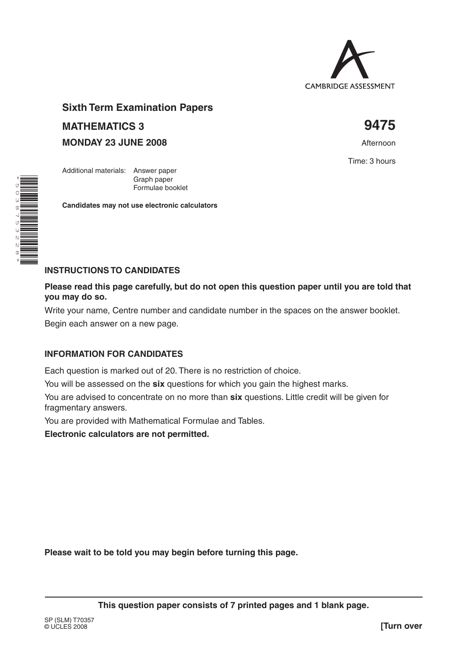

# **Sixth Term Examination Papers MATHEMATICS 3 9475**

Graph paper Formulae booklet

**Candidates may not use electronic calculators**

**MONDAY 23 JUNE 2008 Afternoon** 

Additional materials: Answer paper

Time: 3 hours

\* Ù 0<br>ශ  $\overline{\phantom{0}}$ տ<br>ա N<br>N

> $\infty$ \*

## **INSTRUCTIONS TO CANDIDATES**

**Please read this page carefully, but do not open this question paper until you are told that you may do so.**

Write your name, Centre number and candidate number in the spaces on the answer booklet.

Begin each answer on a new page.

#### **INFORMATION FOR CANDIDATES**

Each question is marked out of 20. There is no restriction of choice.

You will be assessed on the **six** questions for which you gain the highest marks.

You are advised to concentrate on no more than **six** questions. Little credit will be given for fragmentary answers.

You are provided with Mathematical Formulae and Tables.

**Electronic calculators are not permitted.**

**Please wait to be told you may begin before turning this page.**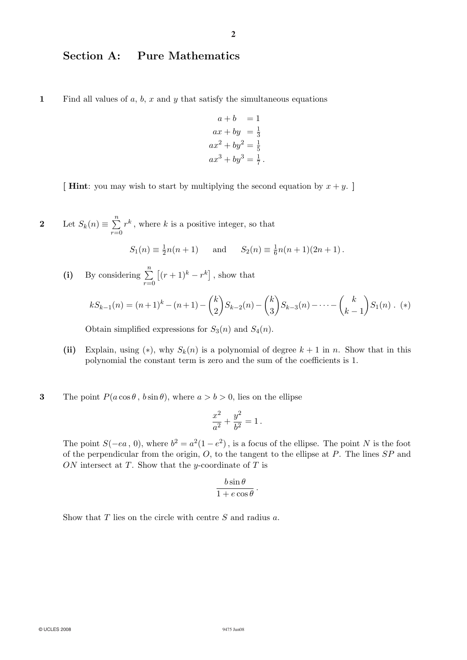## Section A: Pure Mathematics

1 Find all values of  $a, b, x$  and  $y$  that satisfy the simultaneous equations

$$
a+b = 1
$$
  
\n
$$
ax + by = \frac{1}{3}
$$
  
\n
$$
ax^{2} + by^{2} = \frac{1}{5}
$$
  
\n
$$
ax^{3} + by^{3} = \frac{1}{7}.
$$

[ **Hint**: you may wish to start by multiplying the second equation by  $x + y$ .]

2 Let  $S_k(n) \equiv \sum_{r=0}^n$  $r^k$ , where k is a positive integer, so that

$$
S_1(n) \equiv \frac{1}{2}n(n+1)
$$
 and  $S_2(n) \equiv \frac{1}{6}n(n+1)(2n+1)$ .

(i) By considering  $\sum_{n=1}^{\infty}$  $r=0$  $\left[(r+1)^k - r^k\right]$  , show that

$$
kS_{k-1}(n) = (n+1)^k - (n+1) - {k \choose 2} S_{k-2}(n) - {k \choose 3} S_{k-3}(n) - \dots - {k \choose k-1} S_1(n) . (*)
$$

Obtain simplified expressions for  $S_3(n)$  and  $S_4(n)$ .

- (ii) Explain, using (\*), why  $S_k(n)$  is a polynomial of degree  $k + 1$  in n. Show that in this polynomial the constant term is zero and the sum of the coefficients is 1.
- **3** The point  $P(a\cos\theta, b\sin\theta)$ , where  $a>b>0$ , lies on the ellipse

$$
\frac{x^2}{a^2} + \frac{y^2}{b^2} = 1\,.
$$

The point  $S(-ea, 0)$ , where  $b^2 = a^2(1 - e^2)$ , is a focus of the ellipse. The point N is the foot of the perpendicular from the origin,  $O$ , to the tangent to the ellipse at  $P$ . The lines  $SP$  and ON intersect at  $T$ . Show that the y-coordinate of  $T$  is

$$
\frac{b\sin\theta}{1 + e\cos\theta}.
$$

Show that  $T$  lies on the circle with centre  $S$  and radius  $a$ .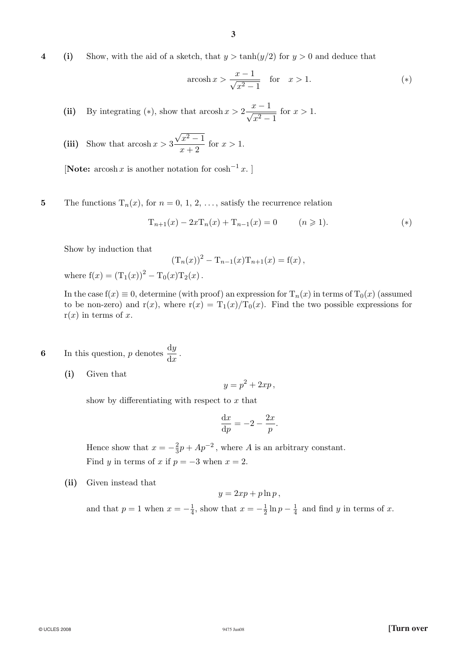4 (i) Show, with the aid of a sketch, that  $y > \tanh(y/2)$  for  $y > 0$  and deduce that

$$
\operatorname{arcosh} x > \frac{x-1}{\sqrt{x^2 - 1}} \quad \text{for} \quad x > 1. \tag{*}
$$

(ii) By integrating (\*), show that  $\arccosh x > 2 \frac{x-1}{\sqrt{x^2-1}}$ for  $x > 1$ .

(iii) Show that 
$$
\arcsin x > 3 \frac{\sqrt{x^2 - 1}}{x + 2}
$$
 for  $x > 1$ .

[Note:  $arcosh x$  is another notation for  $cosh^{-1} x$ .]

5 The functions  $T_n(x)$ , for  $n = 0, 1, 2, \ldots$ , satisfy the recurrence relation

$$
T_{n+1}(x) - 2xT_n(x) + T_{n-1}(x) = 0 \qquad (n \geq 1).
$$
 (\*)

Show by induction that

$$
(T_n(x))^2 - T_{n-1}(x)T_{n+1}(x) = f(x),
$$

where  $f(x) = (T_1(x))^2 - T_0(x)T_2(x)$ .

In the case  $f(x) \equiv 0$ , determine (with proof) an expression for  $T_n(x)$  in terms of  $T_0(x)$  (assumed to be non-zero) and  $r(x)$ , where  $r(x)=T_1(x)/T_0(x)$ . Find the two possible expressions for  $r(x)$  in terms of x.

6 In this question, p denotes  $\frac{dy}{dx}$ .

(i) Given that

$$
y = p^2 + 2xp,
$$

show by differentiating with respect to  $x$  that

$$
\frac{\mathrm{d}x}{\mathrm{d}p} = -2 - \frac{2x}{p}.
$$

Hence show that  $x = -\frac{2}{3}p + Ap^{-2}$ , where A is an arbitrary constant. Find y in terms of x if  $p = -3$  when  $x = 2$ .

(ii) Given instead that

$$
y = 2xp + p\ln p,
$$

and that  $p = 1$  when  $x = -\frac{1}{4}$ , show that  $x = -\frac{1}{2} \ln p - \frac{1}{4}$  and find y in terms of x.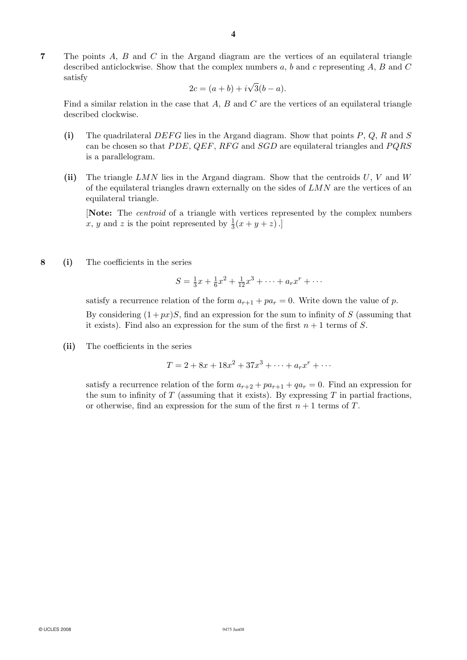7 The points A, B and C in the Argand diagram are the vertices of an equilateral triangle described anticlockwise. Show that the complex numbers  $a, b$  and c representing  $A, B$  and  $C$ satisfy

$$
2c = (a+b) + i\sqrt{3}(b-a).
$$

Find a similar relation in the case that  $A$ ,  $B$  and  $C$  are the vertices of an equilateral triangle described clockwise.

- (i) The quadrilateral DEFG lies in the Argand diagram. Show that points  $P, Q, R$  and  $S$ can be chosen so that  $PDE$ ,  $QEF$ ,  $RFG$  and  $SGD$  are equilateral triangles and  $PQRS$ is a parallelogram.
- (ii) The triangle LMN lies in the Argand diagram. Show that the centroids  $U, V$  and  $W$ of the equilateral triangles drawn externally on the sides of  $LMN$  are the vertices of an equilateral triangle.

[Note: The centroid of a triangle with vertices represented by the complex numbers x, y and z is the point represented by  $\frac{1}{3}(x+y+z)$ .

8 (i) The coefficients in the series

$$
S = \frac{1}{3}x + \frac{1}{6}x^2 + \frac{1}{12}x^3 + \dots + a_rx^r + \dots
$$

satisfy a recurrence relation of the form  $a_{r+1} + pa_r = 0$ . Write down the value of p. By considering  $(1 + px)S$ , find an expression for the sum to infinity of S (assuming that it exists). Find also an expression for the sum of the first  $n + 1$  terms of S.

(ii) The coefficients in the series

$$
T = 2 + 8x + 18x^2 + 37x^3 + \dots + a_rx^r + \dots
$$

satisfy a recurrence relation of the form  $a_{r+2} + pa_{r+1} + qa_r = 0$ . Find an expression for the sum to infinity of  $T$  (assuming that it exists). By expressing  $T$  in partial fractions, or otherwise, find an expression for the sum of the first  $n + 1$  terms of T.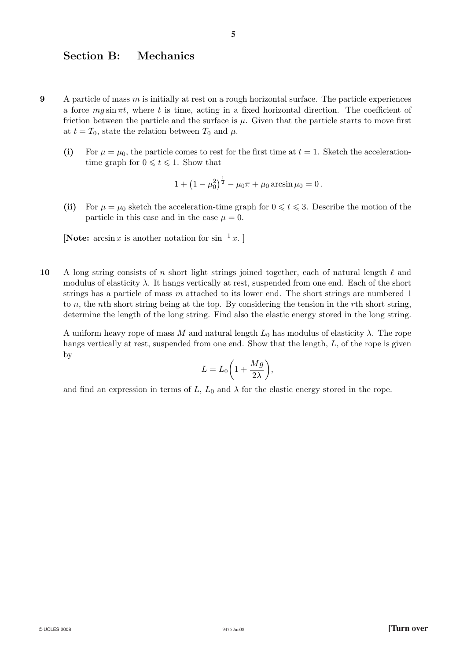#### Section B: Mechanics

- 9 A particle of mass  $m$  is initially at rest on a rough horizontal surface. The particle experiences a force  $mg \sin \pi t$ , where t is time, acting in a fixed horizontal direction. The coefficient of friction between the particle and the surface is  $\mu$ . Given that the particle starts to move first at  $t = T_0$ , state the relation between  $T_0$  and  $\mu$ .
	- (i) For  $\mu = \mu_0$ , the particle comes to rest for the first time at  $t = 1$ . Sketch the accelerationtime graph for  $0 \le t \le 1$ . Show that

$$
1 + \left(1 - \mu_0^2\right)^{\frac{1}{2}} - \mu_0 \pi + \mu_0 \arcsin \mu_0 = 0.
$$

(ii) For  $\mu = \mu_0$  sketch the acceleration-time graph for  $0 \leq t \leq 3$ . Describe the motion of the particle in this case and in the case  $\mu = 0$ .

[Note:  $arcsin x$  is another notation for  $sin^{-1} x$ .]

10 A long string consists of n short light strings joined together, each of natural length  $\ell$  and modulus of elasticity  $\lambda$ . It hangs vertically at rest, suspended from one end. Each of the short strings has a particle of mass  $m$  attached to its lower end. The short strings are numbered 1 to  $n$ , the nth short string being at the top. By considering the tension in the rth short string, determine the length of the long string. Find also the elastic energy stored in the long string.

A uniform heavy rope of mass M and natural length  $L_0$  has modulus of elasticity  $\lambda$ . The rope hangs vertically at rest, suspended from one end. Show that the length, L, of the rope is given by

$$
L = L_0 \bigg( 1 + \frac{Mg}{2\lambda} \bigg),
$$

and find an expression in terms of L,  $L_0$  and  $\lambda$  for the elastic energy stored in the rope.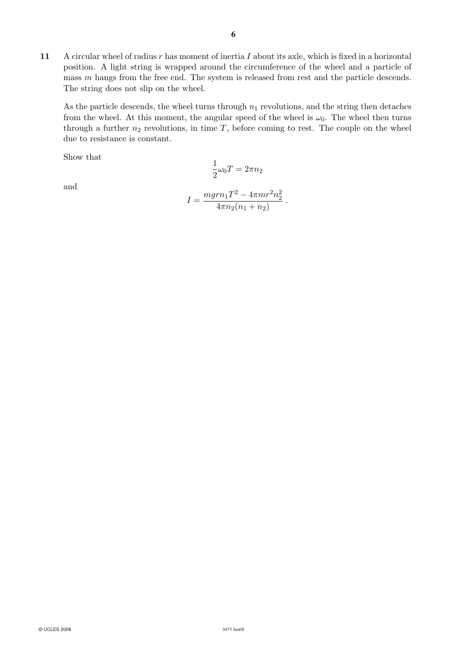11 A circular wheel of radius r has moment of inertia I about its axle, which is fixed in a horizontal position. A light string is wrapped around the circumference of the wheel and a particle of mass m hangs from the free end. The system is released from rest and the particle descends. The string does not slip on the wheel.

As the particle descends, the wheel turns through  $n_1$  revolutions, and the string then detaches from the wheel. At this moment, the angular speed of the wheel is  $\omega_0$ . The wheel then turns through a further  $n_2$  revolutions, in time  $T$ , before coming to rest. The couple on the wheel due to resistance is constant.

Show that

$$
\frac{1}{2}\omega_0 T = 2\pi n_2
$$

and

$$
I = \frac{mgrn_1T^2 - 4\pi mr^2n_2^2}{4\pi n_2(n_1 + n_2)}.
$$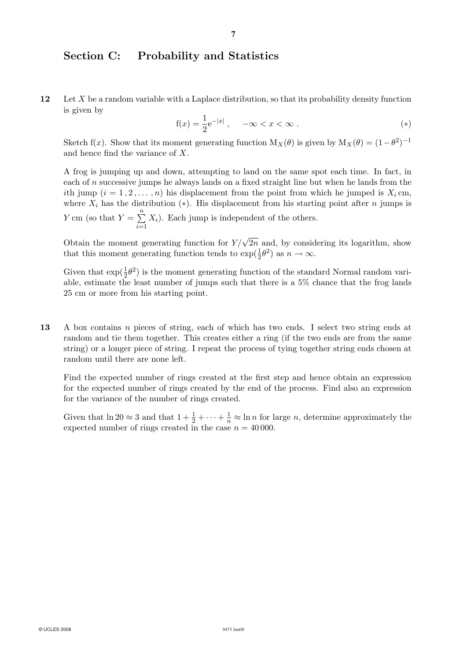## Section C: Probability and Statistics

12 Let X be a random variable with a Laplace distribution, so that its probability density function is given by

$$
f(x) = \frac{1}{2}e^{-|x|}
$$
,  $-\infty < x < \infty$ . (\*)

Sketch f(x). Show that its moment generating function  $M_X(\theta)$  is given by  $M_X(\theta) = (1-\theta^2)^{-1}$ and hence find the variance of X.

A frog is jumping up and down, attempting to land on the same spot each time. In fact, in each of n successive jumps he always lands on a fixed straight line but when he lands from the ith jump  $(i = 1, 2, \ldots, n)$  his displacement from the point from which he jumped is  $X_i$  cm, where  $X_i$  has the distribution (\*). His displacement from his starting point after n jumps is Y cm (so that  $Y = \sum_{n=1}^{\infty}$  $\frac{i=1}{i}$  $X_i$ ). Each jump is independent of the others.

Obtain the moment generating function for  $Y/\sqrt{2n}$  and, by considering its logarithm, show that this moment generating function tends to  $\exp(\frac{1}{2}\theta^2)$  as  $n \to \infty$ .

Given that  $\exp(\frac{1}{2}\theta^2)$  is the moment generating function of the standard Normal random variable, estimate the least number of jumps such that there is a 5% chance that the frog lands 25 cm or more from his starting point.

13 A box contains n pieces of string, each of which has two ends. I select two string ends at random and tie them together. This creates either a ring (if the two ends are from the same string) or a longer piece of string. I repeat the process of tying together string ends chosen at random until there are none left.

Find the expected number of rings created at the first step and hence obtain an expression for the expected number of rings created by the end of the process. Find also an expression for the variance of the number of rings created.

Given that  $\ln 20 \approx 3$  and that  $1 + \frac{1}{2} + \cdots + \frac{1}{n} \approx \ln n$  for large *n*, determine approximately the expected number of rings created in the case  $n = 40000$ .